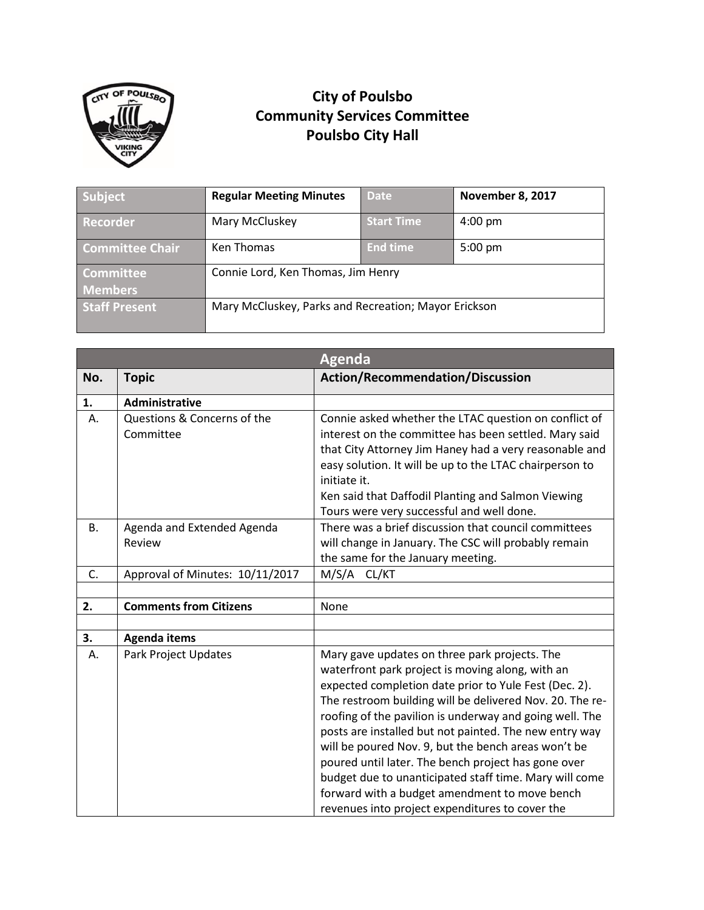

## **City of Poulsbo Community Services Committee Poulsbo City Hall**

| Subject                | <b>Regular Meeting Minutes</b>                       | <b>Date</b>       | <b>November 8, 2017</b> |
|------------------------|------------------------------------------------------|-------------------|-------------------------|
| Recorder               | Mary McCluskey                                       | <b>Start Time</b> | $4:00$ pm               |
| <b>Committee Chair</b> | Ken Thomas                                           | <b>End time</b>   | $5:00 \text{ pm}$       |
| <b>Committee</b>       | Connie Lord, Ken Thomas, Jim Henry                   |                   |                         |
| <b>Members</b>         |                                                      |                   |                         |
| <b>Staff Present</b>   | Mary McCluskey, Parks and Recreation; Mayor Erickson |                   |                         |

|           |                                          | <b>Agenda</b>                                                                                                                                                                                                                                                                                                                                                                                                                                                                                                                                                                                                           |
|-----------|------------------------------------------|-------------------------------------------------------------------------------------------------------------------------------------------------------------------------------------------------------------------------------------------------------------------------------------------------------------------------------------------------------------------------------------------------------------------------------------------------------------------------------------------------------------------------------------------------------------------------------------------------------------------------|
| No.       | <b>Topic</b>                             | <b>Action/Recommendation/Discussion</b>                                                                                                                                                                                                                                                                                                                                                                                                                                                                                                                                                                                 |
| 1.        | Administrative                           |                                                                                                                                                                                                                                                                                                                                                                                                                                                                                                                                                                                                                         |
| А.        | Questions & Concerns of the<br>Committee | Connie asked whether the LTAC question on conflict of<br>interest on the committee has been settled. Mary said<br>that City Attorney Jim Haney had a very reasonable and<br>easy solution. It will be up to the LTAC chairperson to<br>initiate it.<br>Ken said that Daffodil Planting and Salmon Viewing<br>Tours were very successful and well done.                                                                                                                                                                                                                                                                  |
| <b>B.</b> | Agenda and Extended Agenda<br>Review     | There was a brief discussion that council committees<br>will change in January. The CSC will probably remain<br>the same for the January meeting.                                                                                                                                                                                                                                                                                                                                                                                                                                                                       |
| C.        | Approval of Minutes: 10/11/2017          | M/S/A<br>CL/KT                                                                                                                                                                                                                                                                                                                                                                                                                                                                                                                                                                                                          |
|           |                                          |                                                                                                                                                                                                                                                                                                                                                                                                                                                                                                                                                                                                                         |
| 2.        | <b>Comments from Citizens</b>            | None                                                                                                                                                                                                                                                                                                                                                                                                                                                                                                                                                                                                                    |
|           |                                          |                                                                                                                                                                                                                                                                                                                                                                                                                                                                                                                                                                                                                         |
| 3.        | <b>Agenda items</b>                      |                                                                                                                                                                                                                                                                                                                                                                                                                                                                                                                                                                                                                         |
| А.        | <b>Park Project Updates</b>              | Mary gave updates on three park projects. The<br>waterfront park project is moving along, with an<br>expected completion date prior to Yule Fest (Dec. 2).<br>The restroom building will be delivered Nov. 20. The re-<br>roofing of the pavilion is underway and going well. The<br>posts are installed but not painted. The new entry way<br>will be poured Nov. 9, but the bench areas won't be<br>poured until later. The bench project has gone over<br>budget due to unanticipated staff time. Mary will come<br>forward with a budget amendment to move bench<br>revenues into project expenditures to cover the |